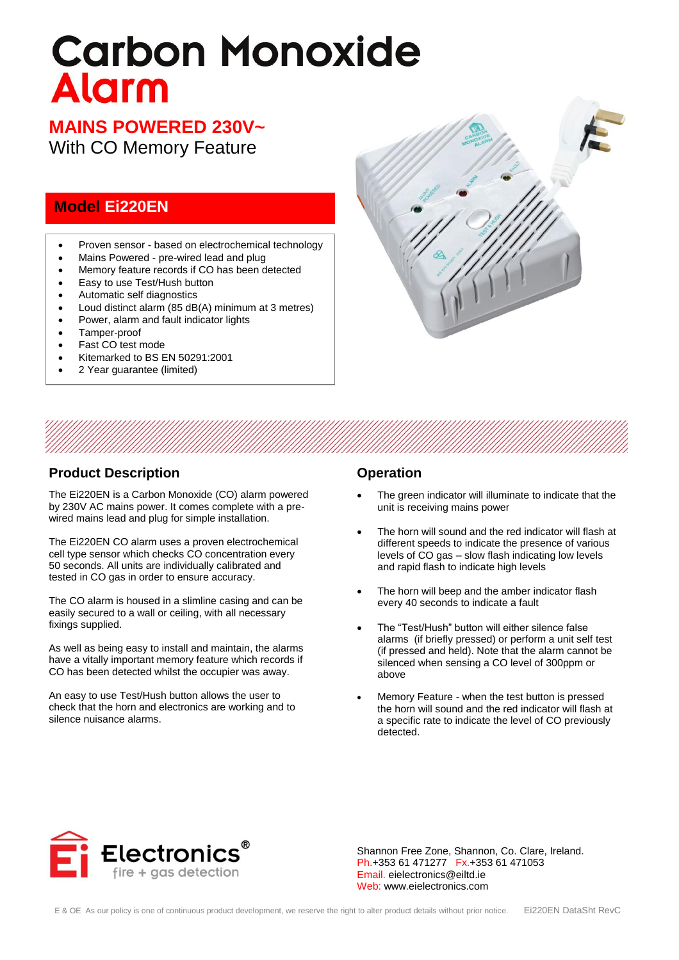# **Carbon Monoxide Alarm**

# **MAINS POWERED 230V~**

With CO Memory Feature

## **Model Ei220EN**

- Proven sensor based on electrochemical technology
- Mains Powered pre-wired lead and plug
- Memory feature records if CO has been detected
- Easy to use Test/Hush button
- Automatic self diagnostics
- Loud distinct alarm (85 dB(A) minimum at 3 metres)
- Power, alarm and fault indicator lights
- Tamper-proof
- Fast CO test mode
- Kitemarked to BS EN 50291:2001
- 2 Year guarantee (limited)



### **Product Description**

The Ei220EN is a Carbon Monoxide (CO) alarm powered by 230V AC mains power. It comes complete with a prewired mains lead and plug for simple installation.

The Ei220EN CO alarm uses a proven electrochemical cell type sensor which checks CO concentration every 50 seconds. All units are individually calibrated and tested in CO gas in order to ensure accuracy.

The CO alarm is housed in a slimline casing and can be easily secured to a wall or ceiling, with all necessary fixings supplied.

As well as being easy to install and maintain, the alarms have a vitally important memory feature which records if CO has been detected whilst the occupier was away.

An easy to use Test/Hush button allows the user to check that the horn and electronics are working and to silence nuisance alarms.

#### **Operation**

- The green indicator will illuminate to indicate that the unit is receiving mains power
- The horn will sound and the red indicator will flash at different speeds to indicate the presence of various levels of CO gas – slow flash indicating low levels and rapid flash to indicate high levels
- The horn will beep and the amber indicator flash every 40 seconds to indicate a fault
- The "Test/Hush" button will either silence false alarms (if briefly pressed) or perform a unit self test (if pressed and held). Note that the alarm cannot be silenced when sensing a CO level of 300ppm or above
- Memory Feature when the test button is pressed the horn will sound and the red indicator will flash at a specific rate to indicate the level of CO previously detected.



Shannon Free Zone, Shannon, Co. Clare, Ireland. Ph.+353 61 471277 Fx.+353 61 471053 Email. eielectronics@eiltd.ie Web: www.eielectronics.com